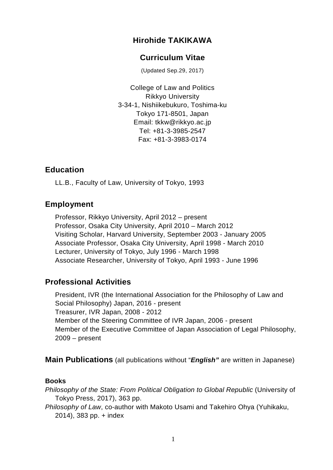## **Hirohide TAKIKAWA**

### **Curriculum Vitae**

(Updated Sep.29, 2017)

College of Law and Politics Rikkyo University 3-34-1, Nishiikebukuro, Toshima-ku Tokyo 171-8501, Japan Email: tkkw@rikkyo.ac.jp Tel: +81-3-3985-2547 Fax: +81-3-3983-0174

#### **Education**

LL.B., Faculty of Law, University of Tokyo, 1993

### **Employment**

Professor, Rikkyo University, April 2012 – present Professor, Osaka City University, April 2010 – March 2012 Visiting Scholar, Harvard University, September 2003 - January 2005 Associate Professor, Osaka City University, April 1998 - March 2010 Lecturer, University of Tokyo, July 1996 - March 1998 Associate Researcher, University of Tokyo, April 1993 - June 1996

### **Professional Activities**

President, IVR (the International Association for the Philosophy of Law and Social Philosophy) Japan, 2016 - present Treasurer, IVR Japan, 2008 - 2012 Member of the Steering Committee of IVR Japan, 2006 - present Member of the Executive Committee of Japan Association of Legal Philosophy, 2009 – present

**Main Publications** (all publications without "*English"* are written in Japanese)

#### **Books**

*Philosophy of the State: From Political Obligation to Global Republic* (University of Tokyo Press, 2017), 363 pp.

*Philosophy of Law*, co-author with Makoto Usami and Takehiro Ohya (Yuhikaku, 2014), 383 pp. + index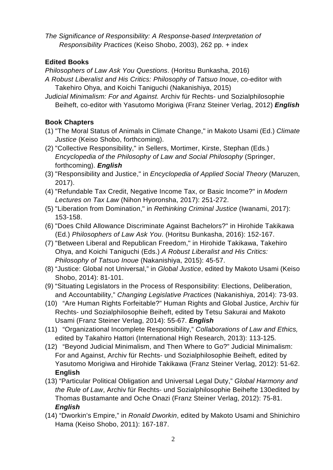*The Significance of Responsibility: A Response-based Interpretation of Responsibility Practices* (Keiso Shobo, 2003), 262 pp. + index

## **Edited Books**

*Philosophers of Law Ask You Questions*. (Horitsu Bunkasha, 2016)

- *A Robust Liberalist and His Critics: Philosophy of Tatsuo Inoue*, co-editor with Takehiro Ohya, and Koichi Taniguchi (Nakanishiya, 2015)
- *Judicial Minimalism: For and Against.* Archiv für Rechts- und Sozialphilosophie Beiheft, co-editor with Yasutomo Morigiwa (Franz Steiner Verlag, 2012) *English*

# **Book Chapters**

- (1) "The Moral Status of Animals in Climate Change," in Makoto Usami (Ed.) *Climate Justice* (Keiso Shobo, forthcoming).
- (2) "Collective Responsibility," in Sellers, Mortimer, Kirste, Stephan (Eds.) *Encyclopedia of the Philosophy of Law and Social Philosophy* (Springer, forthcoming). *English*
- (3) "Responsibility and Justice," in *Encyclopedia of Applied Social Theory* (Maruzen, 2017).
- (4) "Refundable Tax Credit, Negative Income Tax, or Basic Income?" in *Modern Lectures on Tax Law* (Nihon Hyoronsha, 2017): 251-272.
- (5) "Liberation from Domination," in *Rethinking Criminal Justice* (Iwanami, 2017): 153-158.
- (6) "Does Child Allowance Discriminate Against Bachelors?" in Hirohide Takikawa (Ed.) *Philosophers of Law Ask You*. (Horitsu Bunkasha, 2016): 152-167.
- (7) "Between Liberal and Republican Freedom," in Hirohide Takikawa, Takehiro Ohya, and Koichi Taniguchi (Eds.) *A Robust Liberalist and His Critics: Philosophy of Tatsuo Inoue* (Nakanishiya, 2015): 45-57.
- (8) "Justice: Global not Universal," in *Global Justice*, edited by Makoto Usami (Keiso Shobo, 2014): 81-101.
- (9) "Situating Legislators in the Process of Responsibility: Elections, Deliberation, and Accountability," *Changing Legislative Practices* (Nakanishiya, 2014): 73-93.
- (10) "Are Human Rights Forfeitable?" Human Rights and Global Justice, Archiv für Rechts- und Sozialphilosophie Beiheft, edited by Tetsu Sakurai and Makoto Usami (Franz Steiner Verlag, 2014): 55-67. *English*
- (11) "Organizational Incomplete Responsibility," *Collaborations of Law and Ethics,*  edited by Takahiro Hattori (International High Research, 2013): 113-125*.*
- (12) "Beyond Judicial Minimalism, and Then Where to Go?" Judicial Minimalism: For and Against, Archiv für Rechts- und Sozialphilosophie Beiheft, edited by Yasutomo Morigiwa and Hirohide Takikawa (Franz Steiner Verlag, 2012): 51-62. **English**
- (13) "Particular Political Obligation and Universal Legal Duty," *Global Harmony and the Rule of Law*, Archiv für Rechts- und Sozialphilosophie Beihefte 130edited by Thomas Bustamante and Oche Onazi (Franz Steiner Verlag, 2012): 75-81. *English*
- (14) "Dworkin's Empire," in *Ronald Dworkin*, edited by Makoto Usami and Shinichiro Hama (Keiso Shobo, 2011): 167-187.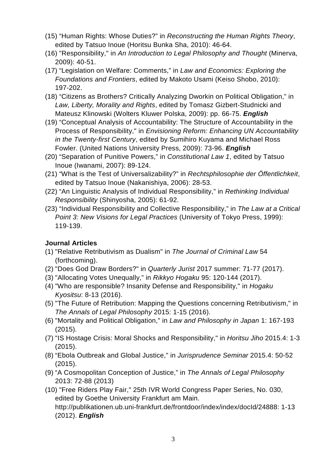- (15) "Human Rights: Whose Duties?" in *Reconstructing the Human Rights Theory*, edited by Tatsuo Inoue (Horitsu Bunka Sha, 2010): 46-64.
- (16) "Responsibility," in *An Introduction to Legal Philosophy and Thought* (Minerva, 2009): 40-51.
- (17) "Legislation on Welfare: Comments," in *Law and Economics: Exploring the Foundations and Frontiers*, edited by Makoto Usami (Keiso Shobo, 2010): 197-202.
- (18) "Citizens as Brothers? Critically Analyzing Dworkin on Political Obligation," in *Law, Liberty, Morality and Rights*, edited by Tomasz Gizbert-Studnicki and Mateusz Klinowski (Wolters Kluwer Polska, 2009): pp. 66-75. *English*
- (19) "Conceptual Analysis of Accountability: The Structure of Accountability in the Process of Responsibility," in *Envisioning Reform: Enhancing UN Accountability in the Twenty-first Century*, edited by Sumihiro Kuyama and Michael Ross Fowler. (United Nations University Press, 2009): 73-96. *English*
- (20) "Separation of Punitive Powers," in *Constitutional Law 1*, edited by Tatsuo Inoue (Iwanami, 2007): 89-124.
- (21) "What is the Test of Universalizability?" in *Rechtsphilosophie der Öffentlichkeit*, edited by Tatsuo Inoue (Nakanishiya, 2006): 28-53.
- (22) "An Linguistic Analysis of Individual Responsibility," in *Rethinking Individual Responsibility* (Shinyosha, 2005): 61-92.
- (23) "Individual Responsibility and Collective Responsibility," in *The Law at a Critical Point 3: New Visions for Legal Practices* (University of Tokyo Press, 1999): 119-139.

### **Journal Articles**

- (1) "Relative Retributivism as Dualism" in *The Journal of Criminal Law* 54 (forthcoming).
- (2) "Does God Draw Borders?" in *Quarterly Jurist* 2017 summer: 71-77 (2017).
- (3) "Allocating Votes Unequally," in *Rikkyo Hogaku* 95: 120-144 (2017).
- (4) "Who are responsible? Insanity Defense and Responsibility," in *Hogaku Kyositsu*: 8-13 (2016).
- (5) "The Future of Retribution: Mapping the Questions concerning Retributivism," in *The Annals of Legal Philosophy* 2015: 1-15 (2016).
- (6) "Mortality and Political Obligation," in *Law and Philosophy in Japan* 1: 167-193 (2015).
- (7) "IS Hostage Crisis: Moral Shocks and Responsibility," in *Horitsu Jiho* 2015.4: 1-3 (2015).
- (8) "Ebola Outbreak and Global Justice," in *Jurisprudence Seminar* 2015.4: 50-52 (2015).
- (9) "A Cosmopolitan Conception of Justice," in *The Annals of Legal Philosophy* 2013: 72-88 (2013)
- (10) "Free Riders Play Fair," 25th IVR World Congress Paper Series, No. 030, edited by Goethe University Frankfurt am Main. http://publikationen.ub.uni-frankfurt.de/frontdoor/index/index/docId/24888: 1-13 (2012). *English*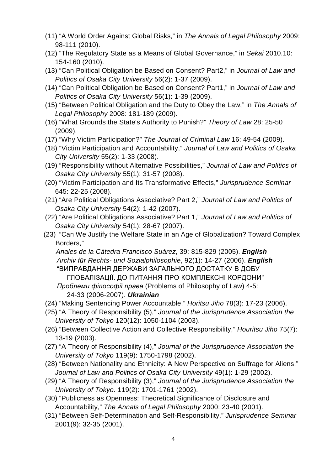- (11) "A World Order Against Global Risks," in *The Annals of Legal Philosophy* 2009: 98-111 (2010).
- (12) "The Regulatory State as a Means of Global Governance," in *Sekai* 2010.10: 154-160 (2010).
- (13) "Can Political Obligation be Based on Consent? Part2," in *Journal of Law and Politics of Osaka City University* 56(2): 1-37 (2009).
- (14) "Can Political Obligation be Based on Consent? Part1," in *Journal of Law and Politics of Osaka City University* 56(1): 1-39 (2009).
- (15) "Between Political Obligation and the Duty to Obey the Law," in *The Annals of Legal Philosophy* 2008: 181-189 (2009).
- (16) "What Grounds the State's Authority to Punish?" *Theory of Law* 28: 25-50 (2009).
- (17) "Why Victim Participation?" *The Journal of Criminal Law* 16: 49-54 (2009).
- (18) "Victim Participation and Accountability," *Journal of Law and Politics of Osaka City University* 55(2): 1-33 (2008).
- (19) "Responsibility without Alternative Possibilities," *Journal of Law and Politics of Osaka City University* 55(1): 31-57 (2008).
- (20) "Victim Participation and Its Transformative Effects," *Jurisprudence Seminar* 645: 22-25 (2008).
- (21) "Are Political Obligations Associative? Part 2," *Journal of Law and Politics of Osaka City University* 54(2): 1-42 (2007).
- (22) "Are Political Obligations Associative? Part 1," *Journal of Law and Politics of Osaka City University* 54(1): 28-67 (2007).
- (23) "Can We Justify the Welfare State in an Age of Globalization? Toward Complex Borders,"

*Anales de la Cátedra Francisco Suárez*, 39: 815-829 (2005). *English Archiv für Rechts- und Sozialphilosophie*, 92(1): 14-27 (2006). *English* "ВИПРАВДАННЯ ДЕРЖАВИ ЗАГАЛЬНОГО ДОСТАТКУ В ДОБУ ГЛОБАЛІЗАЦІЇ. ДО ПИТАННЯ ПРО КОМПЛЕКСНІ КОРДОНИ" *Проблеми філософії права* (Problems of Philosophy of Law) 4-5: 24-33 (2006-2007). *Ukrainian*

- (24) "Making Sentencing Power Accountable," *Horitsu Jiho* 78(3): 17-23 (2006).
- (25) "A Theory of Responsibility (5)," *Journal of the Jurisprudence Association the University of Tokyo* 120(12): 1050-1104 (2003).
- (26) "Between Collective Action and Collective Responsibility," *Houritsu Jiho* 75(7): 13-19 (2003).
- (27) "A Theory of Responsibility (4)," *Journal of the Jurisprudence Association the University of Tokyo* 119(9): 1750-1798 (2002).
- (28) "Between Nationality and Ethnicity: A New Perspective on Suffrage for Aliens," *Journal of Law and Politics of Osaka City University* 49(1): 1-29 (2002).
- (29) "A Theory of Responsibility (3)," *Journal of the Jurisprudence Association the University of Tokyo*. 119(2): 1701-1761 (2002).
- (30) "Publicness as Openness: Theoretical Significance of Disclosure and Accountability," *The Annals of Legal Philosophy* 2000: 23-40 (2001).
- (31) "Between Self-Determination and Self-Responsibility," *Jurisprudence Seminar*  2001(9): 32-35 (2001).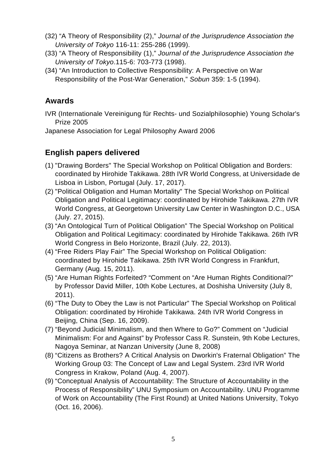- (32) "A Theory of Responsibility (2)," *Journal of the Jurisprudence Association the University of Tokyo* 116-11: 255-286 (1999).
- (33) "A Theory of Responsibility (1)," *Journal of the Jurisprudence Association the University of Tokyo*.115-6: 703-773 (1998).
- (34) "An Introduction to Collective Responsibility: A Perspective on War Responsibility of the Post-War Generation," *Sobun* 359: 1-5 (1994).

# **Awards**

IVR (Internationale Vereinigung für Rechts- und Sozialphilosophie) Young Scholar's Prize 2005

Japanese Association for Legal Philosophy Award 2006

# **English papers delivered**

- (1) "Drawing Borders" The Special Workshop on Political Obligation and Borders: coordinated by Hirohide Takikawa. 28th IVR World Congress, at Universidade de Lisboa in Lisbon, Portugal (July. 17, 2017).
- (2) "Political Obligation and Human Mortality" The Special Workshop on Political Obligation and Political Legitimacy: coordinated by Hirohide Takikawa. 27th IVR World Congress, at Georgetown University Law Center in Washington D.C., USA (July. 27, 2015).
- (3) "An Ontological Turn of Political Obligation" The Special Workshop on Political Obligation and Political Legitimacy: coordinated by Hirohide Takikawa. 26th IVR World Congress in Belo Horizonte, Brazil (July. 22, 2013).
- (4) "Free Riders Play Fair" The Special Workshop on Political Obligation: coordinated by Hirohide Takikawa. 25th IVR World Congress in Frankfurt, Germany (Aug. 15, 2011).
- (5) "Are Human Rights Forfeited? "Comment on "Are Human Rights Conditional?" by Professor David Miller, 10th Kobe Lectures, at Doshisha University (July 8, 2011).
- (6) "The Duty to Obey the Law is not Particular" The Special Workshop on Political Obligation: coordinated by Hirohide Takikawa. [24th IVR World Congress in](http://www.ivr2009.com/)  [Beijing, China \(Sep. 16, 2009\).](http://www.ivr2009.com/)
- (7) "Beyond Judicial Minimalism, and then Where to Go?" Comment on "Judicial Minimalism: For and Against" by Professor Cass R. Sunstein, 9th Kobe Lectures, Nagoya Seminar, at Nanzan University (June 8, 2008)
- (8) "Citizens as Brothers? A Critical Analysis on Dworkin's Fraternal Obligation" The Working Group 03: The Concept of Law and Legal System. [23rd IVR World](http://www.law.uj.edu.pl/ivr2007/)  [Congress in Krakow, Poland \(Aug. 4, 2007\).](http://www.law.uj.edu.pl/ivr2007/)
- (9) "Conceptual Analysis of Accountability: The Structure of Accountability in the Process of Responsibility" UNU Symposium on Accountability. UNU Programme of Work on Accountability (The First Round) at United Nations University, Tokyo (Oct. 16, 2006).